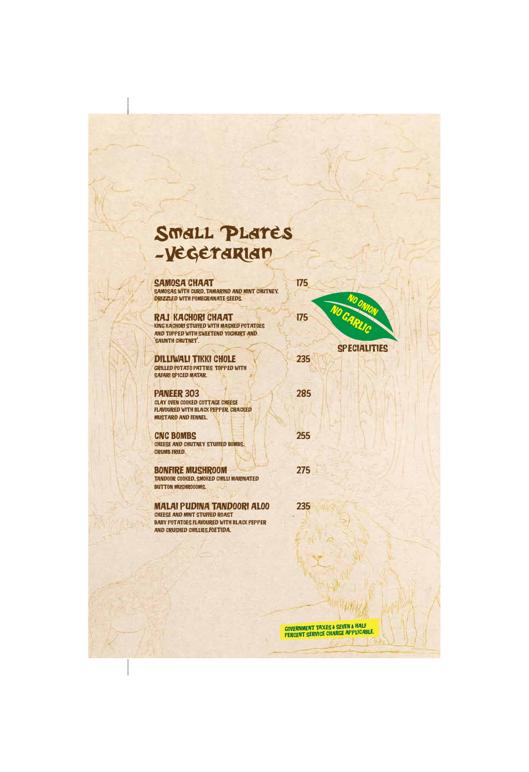#### Small Plates -Vegetarian

SAMOSA CHAAT 175 Samosas With Curd, Tamarind And Mint Chutney, Drizzled With Pomegranate Seeds.

RAJ KACHORI CHAAT 175 King Kachori Stuffed With Mashed Potatoes And Topped With Sweetend Yoghurt And 'Saunth Chutnet'.

DILLIWALI TIKKI CHOLE 235 Grilled Potato Patties TOPPED With SAFARI SPICED MATAR.

PANEER 303 285 Clay Oven Cooked Cottage Cheese Flavoured With Black Pepper, Cracked Mustard And Fennel.

CNC Bombs 255 Cheese And Chutney Stuffed Bombs, Crumb Fried.

BONFIRE MUSHROOM 275 Tandoor Cooked, Smoked Chilli Marinated **BUTTON MUSHROOOMS.** 

Malai Pudina Tandoori Aloo 235

Cheese And Mint Stuffed Roast Baby Potatoes Flavoured With Black Pepper And Crushed Chillies.foetida.



Government Taxes & Seven & Half Percent Service Charge Applicable.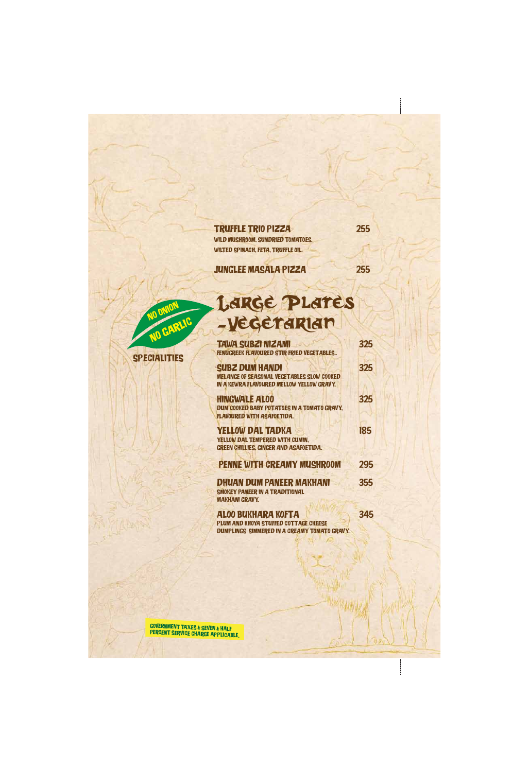SPECIALITIES

NO GARLIC

## Large Plates -Vegetarian

| <b>TAWA SUBZI NIZAMI</b>                                                                       | 325 |
|------------------------------------------------------------------------------------------------|-----|
| FENUGREEK FLAVOURED STIR FRIED VEGETABLES                                                      |     |
| <b>SUBZ DUM HANDI</b>                                                                          | 325 |
| <b>MELANGE OF SEASONAL VEGETABLES SLOW COOKED</b><br>IN A KEWRA FLAVOURED MELLOW YELLOW GRAVY. |     |
|                                                                                                |     |
| <b>HINGWALE ALOO</b>                                                                           | 325 |
| DUM COOKED BABY POTATOES IN A TOMATO GRAVY,<br><b>FLAVOURED WITH ASAFOETIDA.</b>               |     |
| <b>YELLOW DAL TADKA</b>                                                                        | 185 |
| YELLOW DAL TEMPERED WITH CUMIN,                                                                |     |
| GREEN CHILLIES, GINGER AND ASAFOETIDA.                                                         |     |
| PENNE WITH CREAMY MUSHROOM                                                                     | 295 |
| <b>DHUAN DUM PANEER MAKHANI</b>                                                                | 355 |
| <b>SMOKEY PANEER IN A TRADITIONAL</b>                                                          |     |
| <b>MAKHANI GRAVY.</b>                                                                          |     |

Government Taxes & Seven & Half PERCENT SERVICE CHARGE APPLICABLE.

**NO ONION** 

Aloo Bukhara Kofta 345 PLUM AND KHOYA STUFFED COTTAGE CHEESE Dumplings Simmered In A Creamy Tomato Gravy.

| <b>TRUFFLE TRIO PIZZA</b>          | 255 |
|------------------------------------|-----|
| WILD MUSHROOM, SUNDRIED TOMATOES,  |     |
| WILTED SPINACH, FETA, TRUFFLE OIL. |     |

JUNGLEE MASALA PIZZA 255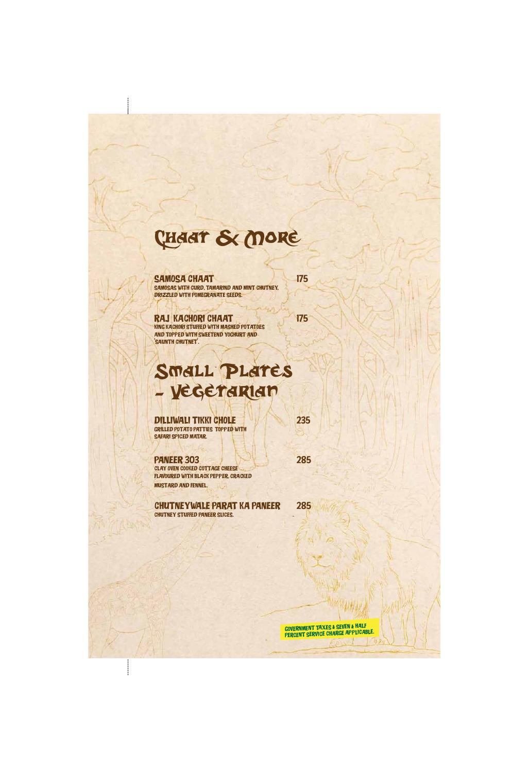### Chaat & More

SAMOSA CHAAT 175

Samosas With Curd, Tamarind And Mint Chutney, Drizzled With Pomegranate Seeds.

RAJ KACHORI CHAAT 175 King Kachori Stuffed With Mashed Potatoes And Topped With Sweetend Yoghurt And 'SAUNTH CHUTNET'.

DILLIWALI TIKKI CHOLE 235 Grilled Potato Patties TOPPED With SAFARI SPICED MATAR.

PANEER 303 285 Clay Oven Cooked Cottage Cheese Flavoured With Black Pepper, Cracked Mustard And Fennel.

### Small Plates - Vegetarian

Chutneywale Parat Ka Paneer 285

Chutney Stuffed Paneer Slices.

Government Taxes & Seven & Half Percent Service Charge Applicable.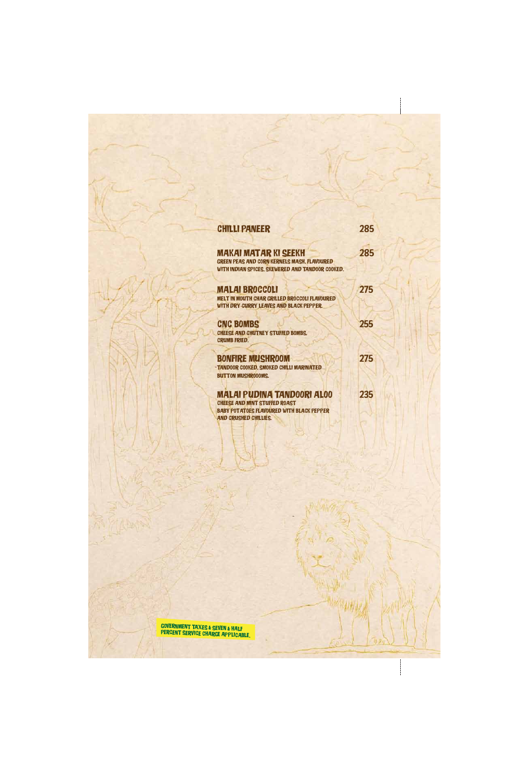# **CHILLI PANEER** 285

MAKAI MATAR KI SEEKH 285 Green Peas And Corn Kernels Mash, Flavoured WITH INDIAN SPICES, SKEWERED AND TANDOOR COOKED.

MALAI BROCCOLI 275 Melt In Mouth Char Grilled Broccoli Flavoured With Dry Curry Leaves And Black Pepper.

CNC BOMBS 255 **CHEESE AND CHUTNEY STUFFED BOMBS,** Crumb Fried.

BONFIRE MUSHROOM 275 Tandoor Cooked, Smoked Chilli Marinated **BUTTON MUSHROOOMS.** 

#### Malai Pudina Tandoori Aloo 235

Cheese And Mint Stuffed Roast Baby Potatoes Flavoured With Black Pepper And Crushed Chillies.

I

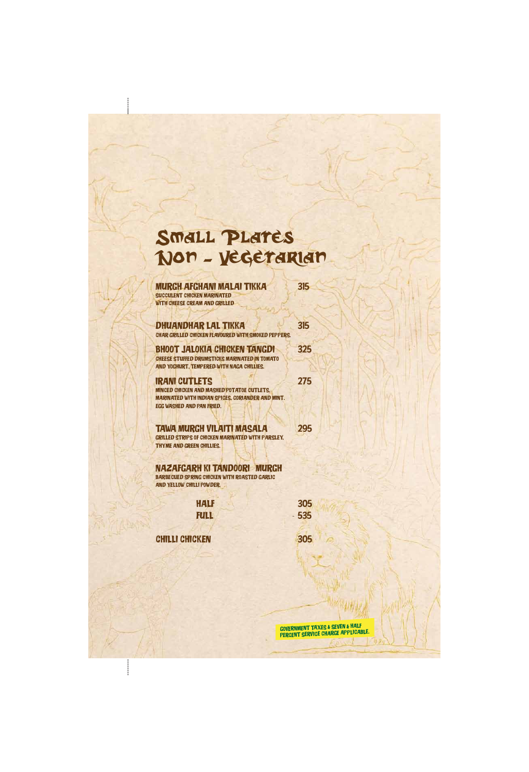### Small Plates Non - Vegetarian

| MURGH AFGHANI MALAI TIKKA<br><b>SUCCULENT CHICKEN MARINATED</b><br><b>WITH CHEESE CREAM AND GRILLED</b>                                                                   | 315 |
|---------------------------------------------------------------------------------------------------------------------------------------------------------------------------|-----|
| <b>DHUANDHAR LAL TIKKA</b><br>CHAR GRILLED CHICKEN FLAVOURED WITH SMOKED PEPPERS.                                                                                         | 315 |
| BHOOT JALOKIA CHICKEN TANGDI<br><b>CHEESE STUFFED DRUMSTICKS MARINATED IN TOMATO</b><br>AND YOGHURT, TEMPERED WITH NAGA CHILLIES.                                         | 325 |
| <b>IRANI CUTLETS</b><br><b>MINCED CHICKEN AND MASHED POTATOE CUTLETS.</b><br><b>MARINATED WITH INDIAN SPICES, CORIANDER AND MINT.</b><br><b>EGG WASHED AND PAN FRIED.</b> | 275 |
| <b>TAWA MURGH VILAITI MASALA</b><br><b>GRILLED STRIPS OF CHICKEN MARINATED WITH PARSLEY,</b><br>THYME AND GREEN CHILLIES.                                                 | 295 |
| NAZAFGARH KI TANDOORI MURGH<br><b>BARBECUED SPRING CHICKEN WITH ROASTED GARLIC</b><br><b>AND YELLOW CHILLI POWDER.</b>                                                    |     |

HALF 305

 $\mathbf{\mathbf{I}}$ 

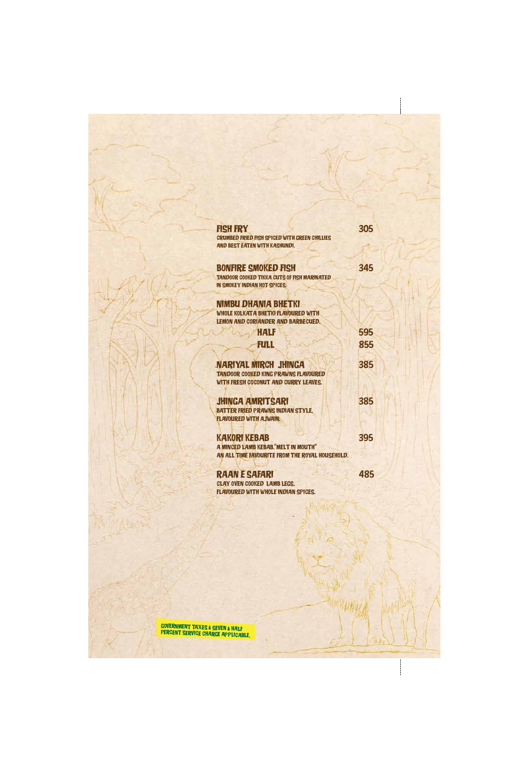| <b>FISH FRY</b>                                      | 305 |
|------------------------------------------------------|-----|
| <b>CRUMBED FRIED FISH SPICED WITH GREEN CHILLIES</b> |     |
| <b>AND BEST EATEN WITH KASHUNDI.</b>                 |     |
|                                                      |     |
| <b>BONFIRE SMOKED FISH</b>                           | 345 |
| <b>TANDOOR COOKED TIKKA CUTS OF FISH MARINATED</b>   |     |
| IN SMOKEY INDIAN HOT SPICES.                         |     |
|                                                      |     |
| NIMBU DHANIA BHETKI                                  |     |
| WHOLE KOLKATA BHETKI FLAVOURED WITH                  |     |
| LEMON AND CORIANDER AND BARBECUED.                   |     |
| HALF                                                 | 595 |
| FULL                                                 | 855 |
|                                                      |     |
| NARIYAL MIRCH JHINGA                                 | 385 |
| <b>TANDOOR COOKED KING PRAWNS FLAVOURED</b>          |     |
| WITH FRESH COCONUT AND CURRY LEAVES.                 |     |
|                                                      |     |
| <b>JHINGA AMRITSARI</b>                              | 385 |
| <b>BATTER FRIED PRAWNS INDIAN STYLE,</b>             |     |
| <b>FLAVOURED WITH AJWAIN.</b>                        |     |
|                                                      |     |
| <b>KAKORI KEBAB</b>                                  | 395 |
| <b>A MINCED LAMB KEBAB. "MELT IN MOUTH"</b>          |     |
| AN ALL TIME FAVOURITE FROM THE ROYAL HOUSEHOLD.      |     |
|                                                      |     |
| <b>RAAN E SAFARI</b>                                 | 485 |
| <b>CLAY OVEN COOKED LAMB LEGS,</b>                   |     |
| <b>FLAVOURED WITH WHOLE INDIAN SPICES.</b>           |     |



 $\begin{array}{c} \n\downarrow \\
\downarrow\n\end{array}$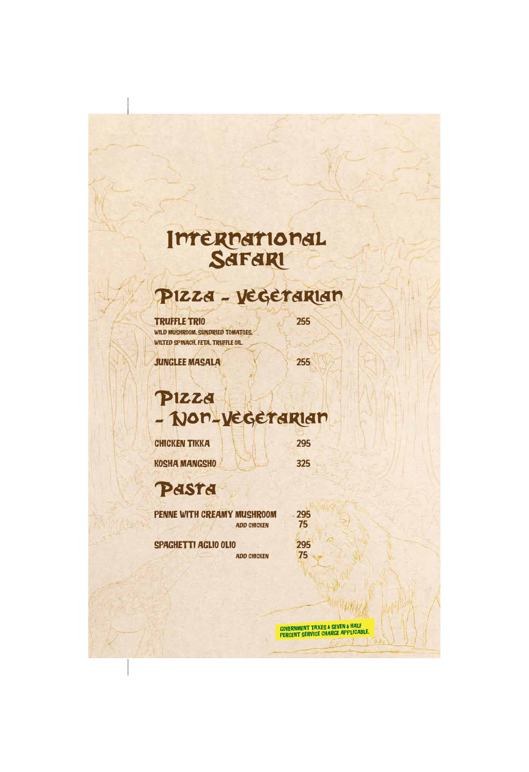# International

#### Pizza - Vegetarian

TRUFFLE TRIO 255 WILD MUSHROOM, SUNDRIED TOMATOES, WILTED SPINACH, FETA, TRUFFLE OIL.

JUNGLEE MASALA 255

Pizza - Non-Vegetarian CHICKEN TIKKA 295

KOSHA MANGSHO 325

Pasta

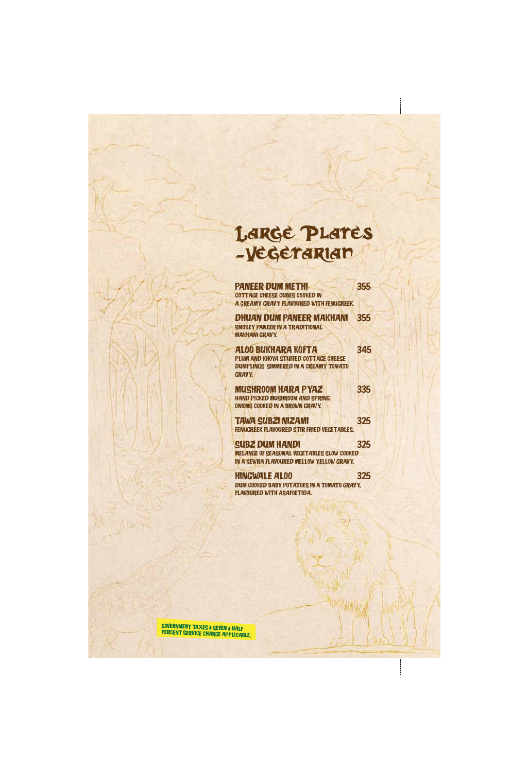### Large Plates -Vegetarian

PANEER DUM METHI 355 COTTAGE CHEESE CUBES COOKED IN A Creamy Gravy Flavoured With Fenugreek.

DHUAN DUM Paneer MAKHANI 355 SMOKEY PANEER IN A TRADITIONAL MAKHANI GRAVY.

MUSHROOM HARA PYAZ 335 Hand Picked Mushroom And Spring Onions Cooked In A Brown Gravy.

Aloo Bukhara Kofta 345 PLUM AND KHOYA STUFFED COTTAGE CHEESE DUMPLINGS SIMMERED IN A CREAMY TOMATO Gravy.

SUBZ DUM HANDI 325 Melange of Seasonal Vegetables Slow Cooked In A Kewra Flavoured Mellow Yellow Gravy.

Tawa Subzi Nizami 325 Fenugreek Flavoured Stir Fried Vegetables.

HingWALE Aloo 325 Dum Cooked Baby Potatoes In A Tomato Gravy, Flavoured With Asafoetida.

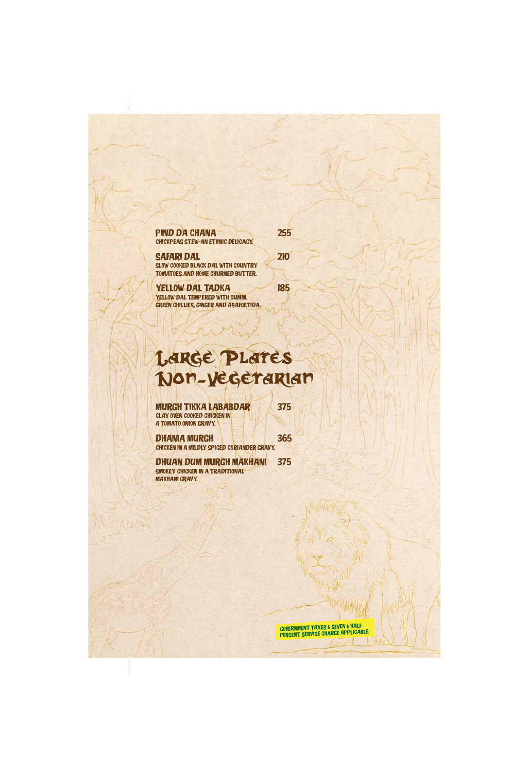### Large Plates Non-Vegetarian

MURGH TIKKA LABABDAR 375 Clay Oven Cooked Chicken In A TOMATO ONION GRAVY.

DHANIA MURGH 365 Chicken In A Mildly Spiced Coriander Gravy.

DHUAN DUM MURGH MAKHANI 375 SMOKEY CHICKEN IN A TRADITIONAL **MAKHANI GRAVY.** 

#### PIND DA CHANA 255 Chickpeas Stew-An Ethnic Delicacy.

SAFARI DAL 210 Slow Cooked Black Dal With Country Tomatoes And Home Churned Butter.

YELLOW DAL TADKA 185 YELLOW DAL TEMPERED WITH CUMIN, Green Chillies, Ginger And Asafoetida.

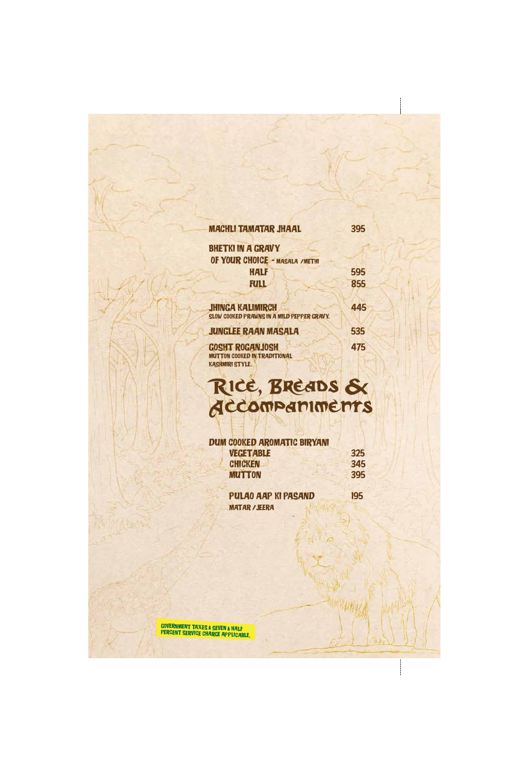#### MACHLI TAMATAR JHAAL 395

**BHETKI IN A GRAVY** OF YOUR CHOICE - MASALA / METHI HALF 595 **FULL** 855

Gosht Roganjosh 475 Mutton Cooked In Traditional KASHMIRI STYLE.

| <b>JHINGA KALIMIRCH</b>                    | 445 |
|--------------------------------------------|-----|
| SLOW COOKED PRAWNS IN A MILD PEPPER GRAVY. |     |
| <b>JUNGLEE RAAN MASALA</b>                 | 535 |

#### Dum Cooked Aromatic Biryani VEGETABLE 325 CHICKEN 345 MUTTON 395

### Rice, Breads & Accompaniments

 Pulao Aap Ki Pasand 195 Matar /Jeera

ł

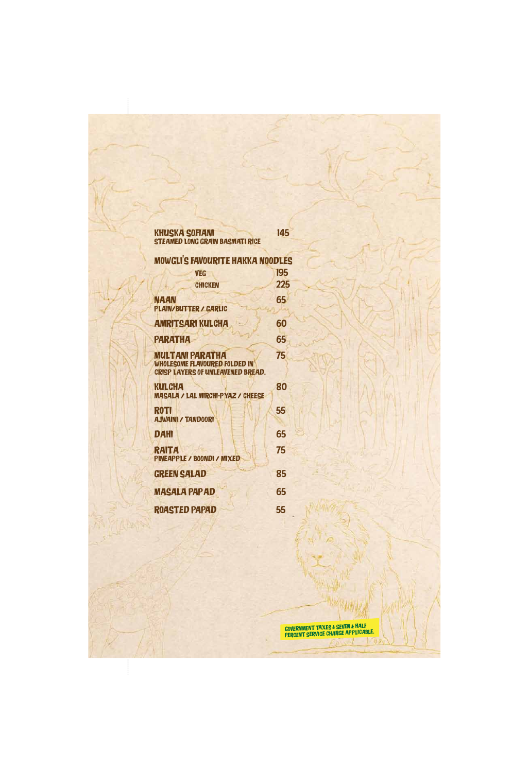#### Khuska Sofiani 145 Steamed Long Grain Basmati Rice

| <b>MOWGLI'S FAVOURITE HAKKA NOODLES</b>                                                                    |     |  |
|------------------------------------------------------------------------------------------------------------|-----|--|
| <b>VEG</b>                                                                                                 | 195 |  |
| <b>CHICKEN</b>                                                                                             | 225 |  |
| NAAN<br><b>PLAIN/BUTTER / GARLIC</b>                                                                       | 65  |  |
| <b>AMRITSARI KULCHA</b>                                                                                    | 60  |  |
| <b>PARATHA</b>                                                                                             | 65  |  |
| <b>MULTANI PARATHA</b><br><b>WHOLESOME FLAVOURED FOLDED IN</b><br><b>CRISP LAYERS OF UNLEAVENED BREAD.</b> | 75  |  |
| KULCHA<br><b>MASALA / LAL MIRCHI-PYAZ / CHEESE</b>                                                         | 80  |  |
| <b>ROTI</b><br><b>AJWAINI / TANDOORI</b>                                                                   | 55  |  |
| <b>DAHI</b>                                                                                                | 65  |  |
| RAITA<br>PINEAPPLE / BOONDI / MIXED                                                                        | 75  |  |
| <b>GREEN SALAD</b>                                                                                         | 85  |  |
| <b>MASALA PAPAD</b>                                                                                        | 65  |  |
|                                                                                                            |     |  |

 $\mathbf{\mathbf{I}}$